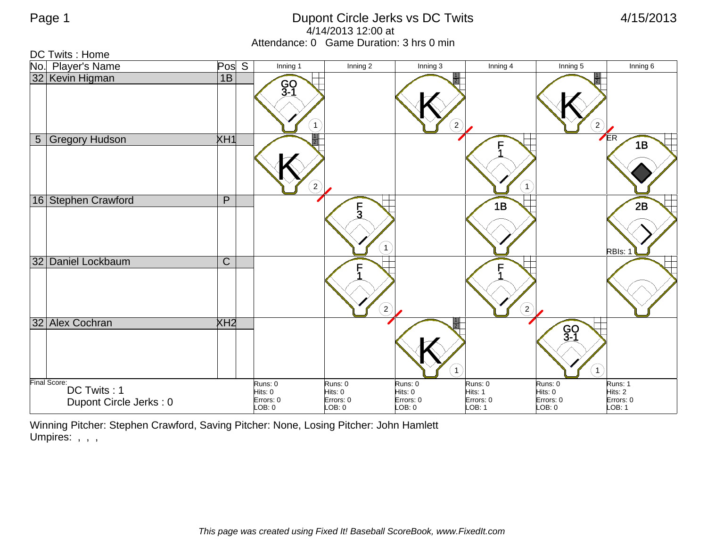## Page 1 Dupont Circle Jerks vs DC Twits 4/15/2013 4/14/2013 12:00 at Attendance: 0 Game Duration: 3 hrs 0 min

DC Twits : Home

| No.            | <b>Player's Name</b>                                  | Pos S                 | Inning 1                                  | Inning 2                                  | Inning 3                                  | Inning 4                                  | Inning 5                                  | Inning 6                                  |
|----------------|-------------------------------------------------------|-----------------------|-------------------------------------------|-------------------------------------------|-------------------------------------------|-------------------------------------------|-------------------------------------------|-------------------------------------------|
|                | 32 Kevin Higman                                       | 1B                    | GO<br>3-1<br>$\mathbf{1}$                 |                                           | $\boldsymbol{2}$                          |                                           | $\left( \frac{2}{3} \right)$              |                                           |
| 5 <sup>1</sup> | <b>Gregory Hudson</b>                                 | XH1                   | $\overline{2}$                            |                                           |                                           | $\mathbf{1}$                              |                                           | ER<br>1B                                  |
|                | 16 Stephen Crawford                                   | P                     |                                           | $\frac{5}{3}$                             | $\mathbf{1}$                              | 1B                                        |                                           | 2B<br>RBIs: 1                             |
|                | 32 Daniel Lockbaum                                    | $\overline{\text{C}}$ |                                           |                                           | $\mathbf{2} \rangle$                      | $\binom{2}{ }$                            |                                           |                                           |
|                | 32 Alex Cochran                                       | XH2                   |                                           |                                           | 1                                         |                                           | GO<br>3-1<br>$\mathbf{1}$                 |                                           |
|                | Final Score:<br>DC Twits: 1<br>Dupont Circle Jerks: 0 |                       | Runs: 0<br>Hits: 0<br>Errors: 0<br>LOB: 0 | Runs: 0<br>Hits: 0<br>Errors: 0<br>LOB: 0 | Runs: 0<br>Hits: 0<br>Errors: 0<br>LOB: 0 | Runs: 0<br>Hits: 1<br>Errors: 0<br>LOB: 1 | Runs: 0<br>Hits: 0<br>Errors: 0<br>LOB: 0 | Runs: 1<br>Hits: 2<br>Errors: 0<br>LOB: 1 |

Winning Pitcher: Stephen Crawford, Saving Pitcher: None, Losing Pitcher: John Hamlett Umpires: , , ,